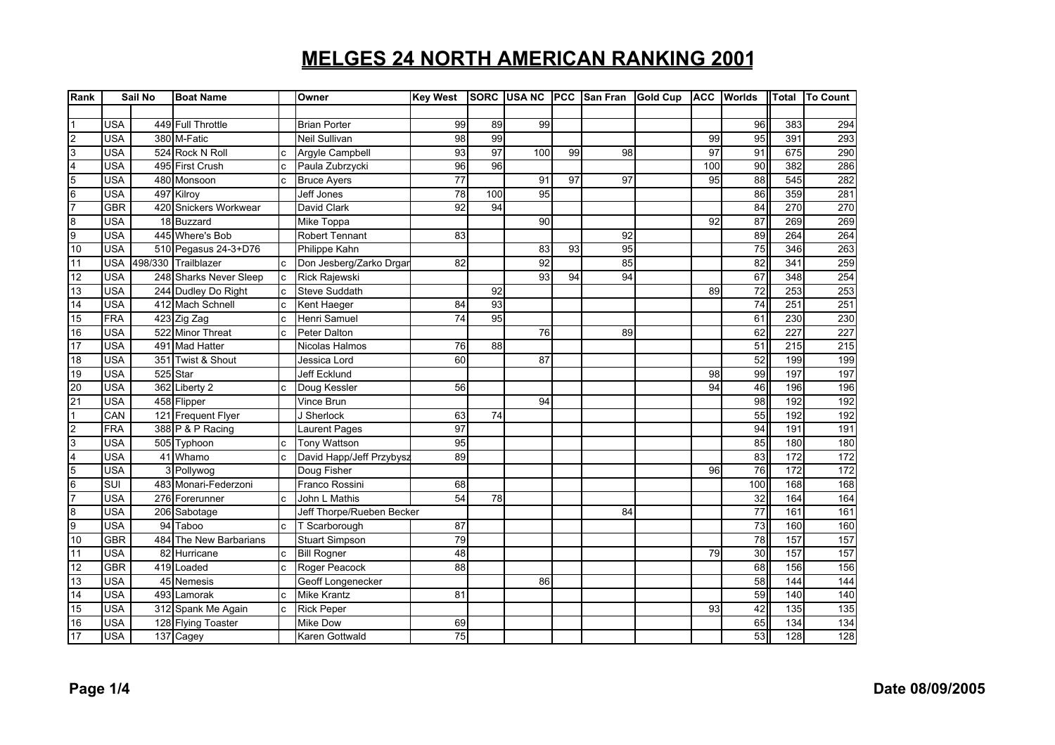| Rank                    |            | Sail No | <b>Boat Name</b>        |              | Owner                     | <b>Key West</b> |                 | SORC USA NC | <b>IPCC</b> | <b>San Fran</b> | <b>Gold Cup</b> | <b>ACC</b>      | <b>Worlds</b>   | <b>Total</b> | <b>To Count</b>  |
|-------------------------|------------|---------|-------------------------|--------------|---------------------------|-----------------|-----------------|-------------|-------------|-----------------|-----------------|-----------------|-----------------|--------------|------------------|
|                         |            |         |                         |              |                           |                 |                 |             |             |                 |                 |                 |                 |              |                  |
|                         | <b>USA</b> |         | 449 Full Throttle       |              | <b>Brian Porter</b>       | 99              | 89              | 99          |             |                 |                 |                 | 96              | 383          | 294              |
| $\overline{2}$          | <b>USA</b> |         | 380 M-Fatic             |              | <b>Neil Sullivan</b>      | 98              | 99              |             |             |                 |                 | 99              | 95              | 391          | 293              |
| 3                       | <b>USA</b> |         | 524 Rock N Roll         | $\mathbf{c}$ | Argyle Campbell           | 93              | $\overline{97}$ | 100         | 99          | 98              |                 | $\overline{97}$ | 91              | 675          | 290              |
| $\overline{4}$          | <b>USA</b> |         | 495 First Crush         | $\mathsf{c}$ | Paula Zubrzycki           | 96              | 96              |             |             |                 |                 | 100             | 90              | 382          | 286              |
| 5                       | <b>USA</b> |         | 480 Monsoon             | C            | <b>Bruce Ayers</b>        | 77              |                 | 91          | 97          | 97              |                 | 95              | 88              | 545          | 282              |
| $6\overline{6}$         | <b>USA</b> |         | 497 Kilroy              |              | Jeff Jones                | $\overline{78}$ | 100             | 95          |             |                 |                 |                 | 86              | 359          | 281              |
| $\overline{7}$          | <b>GBR</b> |         | 420 Snickers Workwear   |              | David Clark               | 92              | 94              |             |             |                 |                 |                 | 84              | 270          | 270              |
| $\overline{8}$          | <b>USA</b> |         | 18 Buzzard              |              | Mike Toppa                |                 |                 | 90          |             |                 |                 | 92              | 87              | 269          | 269              |
| 9                       | <b>USA</b> |         | 445 Where's Bob         |              | <b>Robert Tennant</b>     | 83              |                 |             |             | 92              |                 |                 | 89              | 264          | 264              |
| 10                      | <b>USA</b> |         | 510 Pegasus 24-3+D76    |              | Philippe Kahn             |                 |                 | 83          | 93          | 95              |                 |                 | 75              | 346          | 263              |
| 11                      |            |         | USA 498/330 Trailblazer | c            | Don Jesberg/Zarko Drgar   | 82              |                 | 92          |             | 85              |                 |                 | 82              | 341          | 259              |
| 12                      | <b>USA</b> |         | 248 Sharks Never Sleep  | $\mathbf c$  | Rick Rajewski             |                 |                 | 93          | 94          | 94              |                 |                 | 67              | 348          | 254              |
| 13                      | <b>USA</b> |         | 244 Dudley Do Right     | $\mathbf c$  | Steve Suddath             |                 | 92              |             |             |                 |                 | 89              | 72              | 253          | 253              |
| 14                      | <b>USA</b> |         | 412 Mach Schnell        | $\mathbf c$  | Kent Haeger               | 84              | 93              |             |             |                 |                 |                 | $\overline{74}$ | 251          | 251              |
| 15                      | FRA        |         | 423 Zig Zag             | $\mathsf{c}$ | Henri Samuel              | $\overline{74}$ | 95              |             |             |                 |                 |                 | 61              | 230          | 230              |
| 16                      | <b>USA</b> |         | 522 Minor Threat        | c            | Peter Dalton              |                 |                 | 76          |             | 89              |                 |                 | 62              | 227          | 227              |
| 17                      | <b>USA</b> |         | 491 Mad Hatter          |              | Nicolas Halmos            | 76              | 88              |             |             |                 |                 |                 | 51              | 215          | 215              |
| 18                      | <b>USA</b> |         | 351 Twist & Shout       |              | Jessica Lord              | 60              |                 | 87          |             |                 |                 |                 | 52              | 199          | 199              |
| 19                      | <b>USA</b> |         | 525 Star                |              | <b>Jeff Ecklund</b>       |                 |                 |             |             |                 |                 | 98              | 99              | 197          | 197              |
| 20                      | <b>USA</b> |         | 362 Liberty 2           | $\mathsf{c}$ | Doug Kessler              | 56              |                 |             |             |                 |                 | 94              | 46              | 196          | 196              |
| 21                      | <b>USA</b> |         | 458 Flipper             |              | Vince Brun                |                 |                 | 94          |             |                 |                 |                 | 98              | 192          | 192              |
| $\overline{1}$          | CAN        |         | 121 Frequent Flyer      |              | J Sherlock                | 63              | 74              |             |             |                 |                 |                 | 55              | 192          | 192              |
| $\overline{2}$          | <b>FRA</b> |         | 388 P & P Racing        |              | Laurent Pages             | $\overline{97}$ |                 |             |             |                 |                 |                 | 94              | 191          | 191              |
| $\overline{3}$          | <b>USA</b> |         | 505 Typhoon             | <sub>c</sub> | <b>Tony Wattson</b>       | 95              |                 |             |             |                 |                 |                 | 85              | 180          | 180              |
| $\overline{\mathbf{4}}$ | <b>USA</b> |         | 41 Whamo                | $\mathbf{c}$ | David Happ/Jeff Przybysz  | 89              |                 |             |             |                 |                 |                 | 83              | 172          | 172              |
| $\overline{5}$          | <b>USA</b> |         | 3 Pollywog              |              | Doug Fisher               |                 |                 |             |             |                 |                 | 96              | 76              | 172          | 172              |
| $6\overline{6}$         | SUI        |         | 483 Monari-Federzoni    |              | Franco Rossini            | 68              |                 |             |             |                 |                 |                 | 100             | 168          | 168              |
| 7                       | <b>USA</b> |         | 276 Forerunner          | c            | John L Mathis             | 54              | 78              |             |             |                 |                 |                 | 32              | 164          | 164              |
| $\overline{8}$          | <b>USA</b> |         | 206 Sabotage            |              | Jeff Thorpe/Rueben Becker |                 |                 |             |             | 84              |                 |                 | 77              | 161          | 161              |
| 9                       | <b>USA</b> |         | 94 Taboo                | $\mathbf{c}$ | T Scarborough             | 87              |                 |             |             |                 |                 |                 | 73              | 160          | 160              |
| 10                      | <b>GBR</b> |         | 484 The New Barbarians  |              | <b>Stuart Simpson</b>     | 79              |                 |             |             |                 |                 |                 | $\overline{78}$ | 157          | 157              |
| 11                      | <b>USA</b> |         | 82 Hurricane            | <sub>c</sub> | <b>Bill Rogner</b>        | 48              |                 |             |             |                 |                 | 79              | 30              | 157          | 157              |
| $\overline{12}$         | <b>GBR</b> |         | 419 Loaded              | $\mathbf c$  | Roger Peacock             | 88              |                 |             |             |                 |                 |                 | 68              | 156          | 156              |
| $\overline{13}$         | <b>USA</b> |         | 45 Nemesis              |              | Geoff Longenecker         |                 |                 | 86          |             |                 |                 |                 | 58              | 144          | $\overline{144}$ |
| 14                      | <b>USA</b> |         | 493 Lamorak             | c            | <b>Mike Krantz</b>        | 81              |                 |             |             |                 |                 |                 | 59              | 140          | 140              |
| 15                      | <b>USA</b> |         | 312 Spank Me Again      | $\mathsf{c}$ | <b>Rick Peper</b>         |                 |                 |             |             |                 |                 | 93              | 42              | 135          | 135              |
| 16                      | <b>USA</b> |         | 128 Flying Toaster      |              | Mike Dow                  | 69              |                 |             |             |                 |                 |                 | 65              | 134          | 134              |
| 17                      | <b>USA</b> |         | 137 Cagey               |              | Karen Gottwald            | 75              |                 |             |             |                 |                 |                 | 53              | 128          | 128              |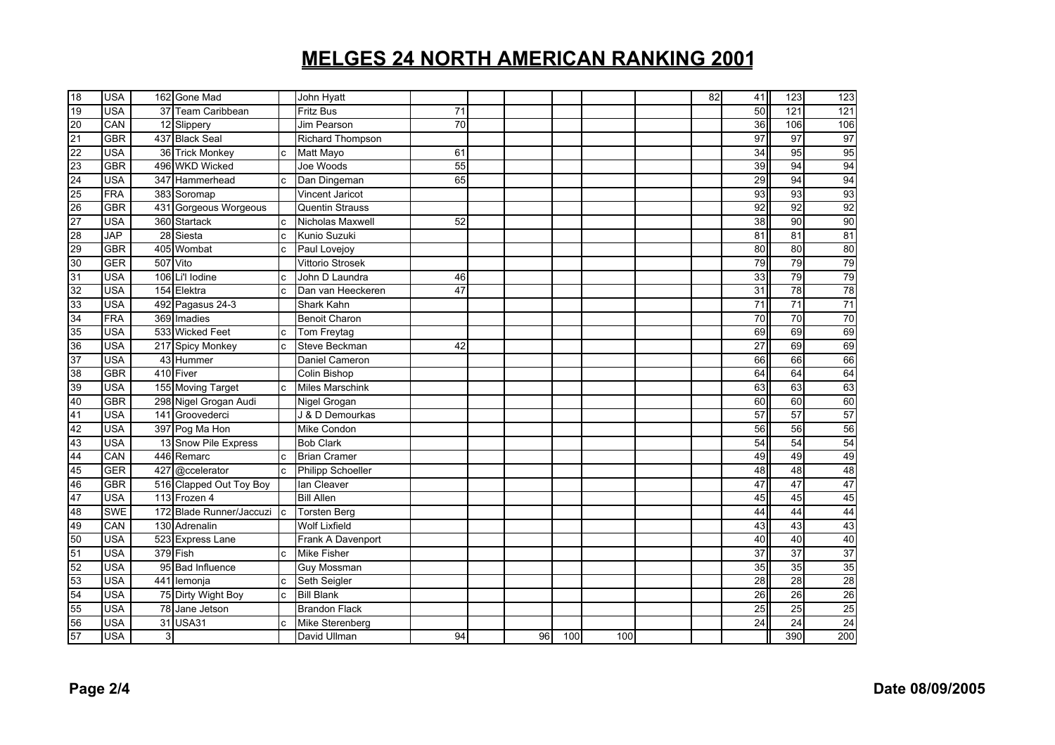| $\frac{18}{19}$                                                                                                 | <b>USA</b> |   | 162 Gone Mad             |              | John Hyatt               |                 |    |     |     | 82 | 41              | 123             | 123             |
|-----------------------------------------------------------------------------------------------------------------|------------|---|--------------------------|--------------|--------------------------|-----------------|----|-----|-----|----|-----------------|-----------------|-----------------|
|                                                                                                                 | <b>USA</b> |   | 37 Team Caribbean        |              | <b>Fritz Bus</b>         | $\overline{71}$ |    |     |     |    | 50              | 121             | $\frac{1}{121}$ |
|                                                                                                                 | CAN        |   | 12 Slippery              |              | Jim Pearson              | 70              |    |     |     |    | 36              | 106             | 106             |
|                                                                                                                 | <b>GBR</b> |   | 437 Black Seal           |              | <b>Richard Thompson</b>  |                 |    |     |     |    | 97              | 97              | 97              |
|                                                                                                                 | <b>USA</b> |   | 36 Trick Monkey          | c.           | Matt Mayo                | 61              |    |     |     |    | 34              | 95              | 95              |
|                                                                                                                 | <b>GBR</b> |   | 496 WKD Wicked           |              | Joe Woods                | 55              |    |     |     |    | 39              | 94              | 94              |
|                                                                                                                 | <b>USA</b> |   | 347 Hammerhead           | <sub>c</sub> | Dan Dingeman             | 65              |    |     |     |    | $\overline{29}$ | 94              | 94              |
|                                                                                                                 | <b>FRA</b> |   | 383 Soromap              |              | Vincent Jaricot          |                 |    |     |     |    | $\overline{93}$ | 93              | 93              |
|                                                                                                                 | GBR        |   | 431 Gorgeous Worgeous    |              | <b>Quentin Strauss</b>   |                 |    |     |     |    | 92              | 92              | 92              |
| 20 21 22 23 24 25 26 27 28 29 30                                                                                | <b>USA</b> |   | 360 Startack             | c            | Nicholas Maxwell         | 52              |    |     |     |    | 38              | 90              | 90              |
|                                                                                                                 | <b>JAP</b> |   | 28 Siesta                | C            | Kunio Suzuki             |                 |    |     |     |    | 81              | 81              | 81              |
|                                                                                                                 | <b>GBR</b> |   | 405 Wombat               | $\mathbf{c}$ | Paul Lovejoy             |                 |    |     |     |    | 80              | 80              | 80              |
|                                                                                                                 | <b>GER</b> |   | 507 Vito                 |              | Vittorio Strosek         |                 |    |     |     |    | 79              | 79              | 79              |
|                                                                                                                 | <b>USA</b> |   | 106 Li'l lodine          | c            | John D Laundra           | 46              |    |     |     |    | 33              | 79              | 79              |
| $\begin{array}{c}\n 31 \\  32 \\  33\n \end{array}$                                                             | <b>USA</b> |   | 154 Elektra              | c            | Dan van Heeckeren        | 47              |    |     |     |    | 31              | 78              | 78              |
|                                                                                                                 | <b>USA</b> |   | 492 Pagasus 24-3         |              | Shark Kahn               |                 |    |     |     |    | 71              | 71              | 71              |
| $\frac{34}{35}$                                                                                                 | <b>FRA</b> |   | 369 Imadies              |              | <b>Benoit Charon</b>     |                 |    |     |     |    | 70              | $\overline{70}$ | 70              |
|                                                                                                                 | <b>USA</b> |   | 533 Wicked Feet          | c            | Tom Freytag              |                 |    |     |     |    | 69              | 69              | 69              |
|                                                                                                                 | <b>USA</b> |   | 217 Spicy Monkey         | $\mathbf{c}$ | Steve Beckman            | 42              |    |     |     |    | 27              | 69              | 69              |
| $\frac{36}{37}$                                                                                                 | <b>USA</b> |   | 43 Hummer                |              | Daniel Cameron           |                 |    |     |     |    | 66              | 66              | 66              |
| $\frac{38}{39}$ $\frac{39}{40}$ $\frac{40}{41}$ $\frac{42}{43}$ $\frac{44}{45}$ $\frac{45}{48}$ $\frac{46}{48}$ | <b>GBR</b> |   | 410 Fiver                |              | Colin Bishop             |                 |    |     |     |    | 64              | 64              | 64              |
|                                                                                                                 | <b>USA</b> |   | 155 Moving Target        | <sub>c</sub> | <b>Miles Marschink</b>   |                 |    |     |     |    | 63              | 63              | 63              |
|                                                                                                                 | <b>GBR</b> |   | 298 Nigel Grogan Audi    |              | Nigel Grogan             |                 |    |     |     |    | 60              | 60              | 60              |
|                                                                                                                 | <b>USA</b> |   | 141 Groovederci          |              | J & D Demourkas          |                 |    |     |     |    | 57              | 57              | 57              |
|                                                                                                                 | <b>USA</b> |   | 397 Pog Ma Hon           |              | Mike Condon              |                 |    |     |     |    | 56              | 56              | 56              |
|                                                                                                                 | <b>USA</b> |   | 13 Snow Pile Express     |              | <b>Bob Clark</b>         |                 |    |     |     |    | 54              | 54              | 54              |
|                                                                                                                 | CAN        |   | 446 Remarc               | C.           | <b>Brian Cramer</b>      |                 |    |     |     |    | 49              | 49              | 49              |
|                                                                                                                 | <b>GER</b> |   | 427 @ccelerator          | <sub>c</sub> | <b>Philipp Schoeller</b> |                 |    |     |     |    | 48              | 48              | 48              |
|                                                                                                                 | <b>GBR</b> |   | 516 Clapped Out Toy Boy  |              | lan Cleaver              |                 |    |     |     |    | 47              | 47              | 47              |
|                                                                                                                 | <b>USA</b> |   | 113 Frozen 4             |              | <b>Bill Allen</b>        |                 |    |     |     |    | 45              | 45              | 45              |
|                                                                                                                 | <b>SWE</b> |   | 172 Blade Runner/Jaccuzi | <b>I</b> c   | <b>Torsten Berg</b>      |                 |    |     |     |    | 44              | 44              | 44              |
|                                                                                                                 | CAN        |   | 130 Adrenalin            |              | <b>Wolf Lixfield</b>     |                 |    |     |     |    | 43              | 43              | 43              |
|                                                                                                                 | <b>USA</b> |   | 523 Express Lane         |              | Frank A Davenport        |                 |    |     |     |    | 40              | 40              | 40              |
|                                                                                                                 | <b>USA</b> |   | 379 Fish                 | <sub>c</sub> | <b>Mike Fisher</b>       |                 |    |     |     |    | 37              | 37              | 37              |
| 9 10 10 10 10 10 10 10                                                                                          | <b>USA</b> |   | 95 Bad Influence         |              | <b>Guy Mossman</b>       |                 |    |     |     |    | 35              | 35              | 35              |
|                                                                                                                 | <b>USA</b> |   | 441 lemonja              | <sub>c</sub> | Seth Seigler             |                 |    |     |     |    | 28              | $\overline{28}$ | 28              |
|                                                                                                                 | <b>USA</b> |   | 75 Dirty Wight Boy       | $\mathbf c$  | <b>Bill Blank</b>        |                 |    |     |     |    | 26              | 26              | 26              |
|                                                                                                                 | <b>USA</b> |   | 78 Jane Jetson           |              | <b>Brandon Flack</b>     |                 |    |     |     |    | 25              | 25              | 25              |
|                                                                                                                 | <b>USA</b> |   | 31 USA31                 | c            | Mike Sterenberg          |                 |    |     |     |    | 24              | 24              | 24              |
|                                                                                                                 | <b>USA</b> | 3 |                          |              | David Ullman             | 94              | 96 | 100 | 100 |    |                 | 390             | 200             |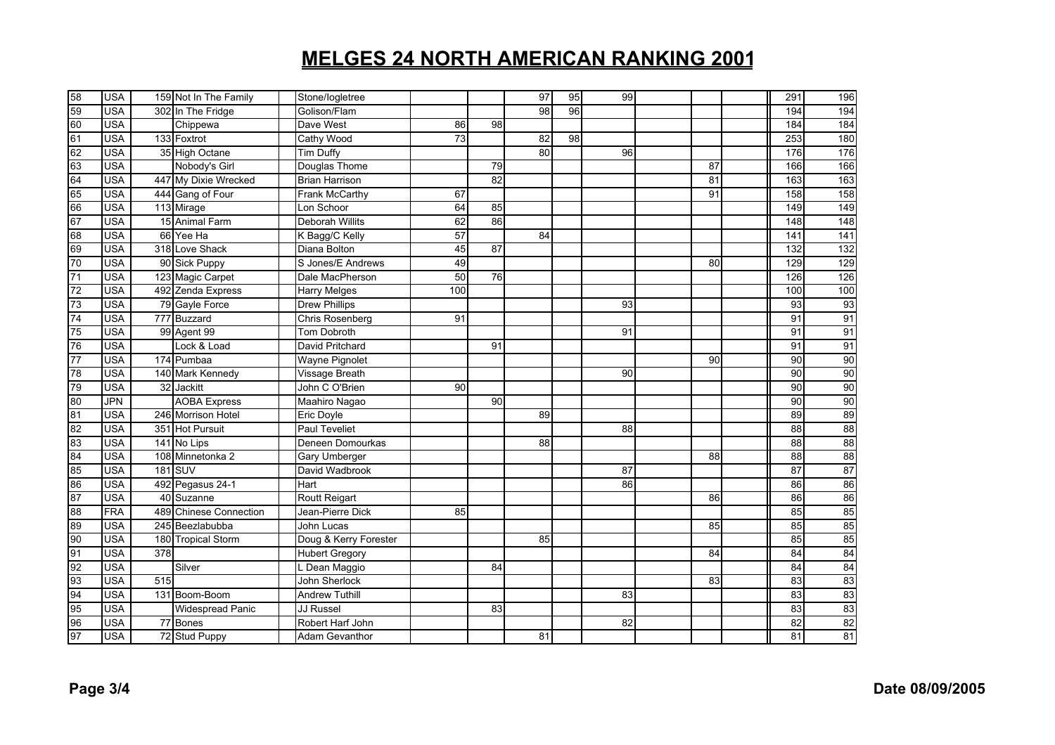|                                                          | <b>USA</b> |                  | 159 Not In The Family   | Stone/logletree       |     |    | 97 | 95 | 99 |    | 291             | 196 |
|----------------------------------------------------------|------------|------------------|-------------------------|-----------------------|-----|----|----|----|----|----|-----------------|-----|
|                                                          | <b>USA</b> |                  | 302 In The Fridge       | Golison/Flam          |     |    | 98 | 96 |    |    | 194             | 194 |
|                                                          | <b>USA</b> |                  | Chippewa                | Dave West             | 86  | 98 |    |    |    |    | 184             | 184 |
|                                                          | <b>USA</b> |                  | 133 Foxtrot             | Cathy Wood            | 73  |    | 82 | 98 |    |    | 253             | 180 |
| 58<br>59<br>60<br>61<br>62<br>63<br>64<br>65<br>66<br>67 | <b>USA</b> |                  | 35 High Octane          | <b>Tim Duffy</b>      |     |    | 80 |    | 96 |    | 176             | 176 |
|                                                          | <b>USA</b> |                  | Nobody's Girl           | Douglas Thome         |     | 79 |    |    |    | 87 | 166             | 166 |
|                                                          | <b>USA</b> |                  | 447 My Dixie Wrecked    | <b>Brian Harrison</b> |     | 82 |    |    |    | 81 | 163             | 163 |
|                                                          | <b>USA</b> |                  | 444 Gang of Four        | Frank McCarthy        | 67  |    |    |    |    | 91 | 158             | 158 |
|                                                          | <b>USA</b> |                  | 113 Mirage              | Lon Schoor            | 64  | 85 |    |    |    |    | 149             | 149 |
|                                                          | <b>USA</b> |                  | 15 Animal Farm          | Deborah Willits       | 62  | 86 |    |    |    |    | 148             | 148 |
| 68<br>69<br>70                                           | <b>USA</b> |                  | 66 Yee Ha               | K Bagg/C Kelly        | 57  |    | 84 |    |    |    | 141             | 141 |
|                                                          | <b>USA</b> |                  | 318 Love Shack          | Diana Bolton          | 45  | 87 |    |    |    |    | 132             | 132 |
|                                                          | <b>USA</b> |                  | 90 Sick Puppy           | S Jones/E Andrews     | 49  |    |    |    |    | 80 | 129             | 129 |
| $\overline{71}$                                          | <b>USA</b> |                  | 123 Magic Carpet        | Dale MacPherson       | 50  | 76 |    |    |    |    | 126             | 126 |
| 72                                                       | <b>USA</b> |                  | 492 Zenda Express       | Harry Melges          | 100 |    |    |    |    |    | 100             | 100 |
| 73                                                       | <b>USA</b> |                  | 79 Gayle Force          | <b>Drew Phillips</b>  |     |    |    |    | 93 |    | $\overline{93}$ | 93  |
| $\frac{74}{75}$                                          | <b>USA</b> |                  | 777 Buzzard             | Chris Rosenberg       | 91  |    |    |    |    |    | 91              | 91  |
|                                                          | <b>USA</b> |                  | 99 Agent 99             | <b>Tom Dobroth</b>    |     |    |    |    | 91 |    | 91              | 91  |
| 76                                                       | <b>USA</b> |                  | Lock & Load             | David Pritchard       |     | 91 |    |    |    |    | 91              | 91  |
| $\overline{77}$                                          | <b>USA</b> |                  | 174 Pumbaa              | Wayne Pignolet        |     |    |    |    |    | 90 | 90              | 90  |
| 78<br>79                                                 | USA        |                  | 140 Mark Kennedy        | Vissage Breath        |     |    |    |    | 90 |    | 90              | 90  |
|                                                          | <b>USA</b> |                  | 32 Jackitt              | John C O'Brien        | 90  |    |    |    |    |    | 90              | 90  |
| 80 81 81 82 83 84 85 86 87 88                            | <b>JPN</b> |                  | <b>AOBA Express</b>     | Maahiro Nagao         |     | 90 |    |    |    |    | 90              | 90  |
|                                                          | <b>USA</b> |                  | 246 Morrison Hotel      | Eric Doyle            |     |    | 89 |    |    |    | 89              | 89  |
|                                                          | <b>USA</b> |                  | 351 Hot Pursuit         | Paul Teveliet         |     |    |    |    | 88 |    | 88              | 88  |
|                                                          | <b>USA</b> |                  | 141 No Lips             | Deneen Domourkas      |     |    | 88 |    |    |    | 88              | 88  |
|                                                          | <b>USA</b> |                  | 108 Minnetonka 2        | Gary Umberger         |     |    |    |    |    | 88 | 88              | 88  |
|                                                          | <b>USA</b> |                  | $181$ SUV               | David Wadbrook        |     |    |    |    | 87 |    | 87              | 87  |
|                                                          | <b>USA</b> |                  | 492 Pegasus 24-1        | Hart                  |     |    |    |    | 86 |    | 86              | 86  |
|                                                          | <b>USA</b> |                  | 40 Suzanne              | Routt Reigart         |     |    |    |    |    | 86 | 86              | 86  |
|                                                          | <b>FRA</b> |                  | 489 Chinese Connection  | Jean-Pierre Dick      | 85  |    |    |    |    |    | 85              | 85  |
|                                                          | <b>USA</b> |                  | 245 Beezlabubba         | John Lucas            |     |    |    |    |    | 85 | 85              | 85  |
|                                                          | <b>USA</b> |                  | 180 Tropical Storm      | Doug & Kerry Forester |     |    | 85 |    |    |    | 85              | 85  |
|                                                          | <b>USA</b> | $\overline{378}$ |                         | <b>Hubert Gregory</b> |     |    |    |    |    | 84 | 84              | 84  |
| 89<br>90<br>91<br>92<br>93<br>95<br>96<br>97             | <b>USA</b> |                  | Silver                  | L Dean Maggio         |     | 84 |    |    |    |    | 84              | 84  |
|                                                          | <b>USA</b> | 515              |                         | John Sherlock         |     |    |    |    |    | 83 | 83              | 83  |
|                                                          | <b>USA</b> |                  | 131 Boom-Boom           | Andrew Tuthill        |     |    |    |    | 83 |    | 83              | 83  |
|                                                          | <b>USA</b> |                  | <b>Widespread Panic</b> | JJ Russel             |     | 83 |    |    |    |    | 83              | 83  |
|                                                          | <b>USA</b> |                  | 77 Bones                | Robert Harf John      |     |    |    |    | 82 |    | 82              | 82  |
|                                                          | <b>USA</b> |                  | 72 Stud Puppy           | Adam Gevanthor        |     |    | 81 |    |    |    | 81              | 81  |